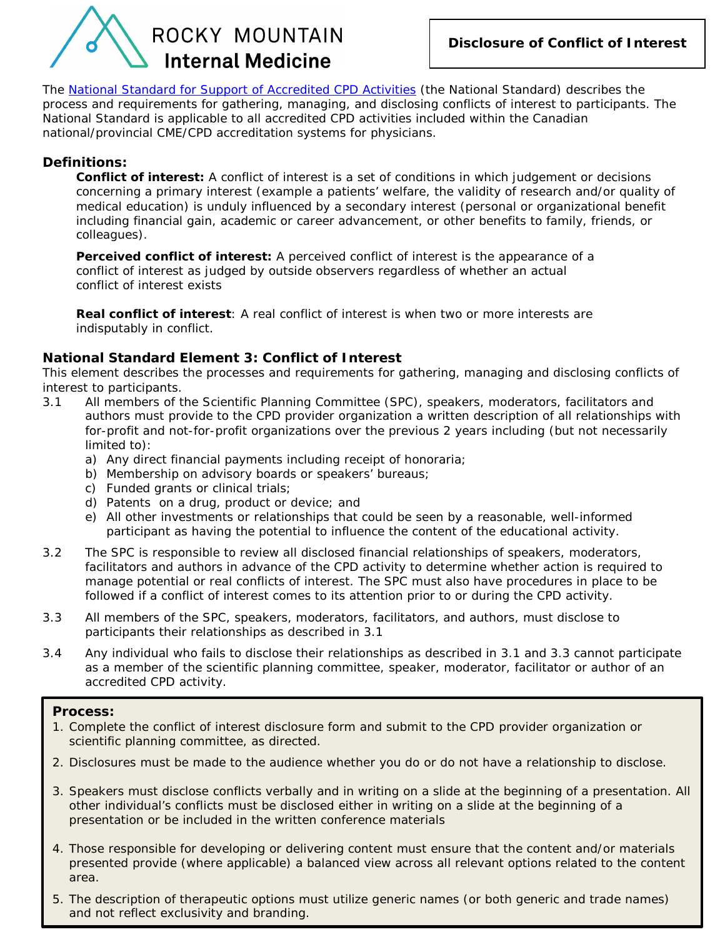

The *[National Standard for Support of Accredited CPD Activities](http://www.royalcollege.ca/rcsite/cpd/providers/tools-resources-accredited-cpd-providers/national-standard-accredited-cpd-activities-e)* (the National Standard) describes the process and requirements for gathering, managing, and disclosing conflicts of interest to participants. The National Standard is applicable to all accredited CPD activities included within the Canadian national/provincial CME/CPD accreditation systems for physicians.

## **Definitions:**

**Conflict of interest:** A conflict of interest is a set of conditions in which judgement or decisions concerning a primary interest (example a patients' welfare, the validity of research and/or quality of medical education) is unduly influenced by a secondary interest (personal or organizational benefit including financial gain, academic or career advancement, or other benefits to family, friends, or colleagues).

**Perceived conflict of interest:** A perceived conflict of interest is the appearance of a conflict of interest as judged by outside observers regardless of whether an actual conflict of interest exists

**Real conflict of interest**: A real conflict of interest is when two or more interests are indisputably in conflict.

## **National Standard Element 3: Conflict of Interest**

This element describes the processes and requirements for gathering, managing and disclosing conflicts of interest to participants.

- 3.1 All members of the Scientific Planning Committee (SPC), speakers, moderators, facilitators and authors must provide to the CPD provider organization a written description of all relationships with for-profit and not-for-profit organizations over the previous 2 years including (but not necessarily limited to):
	- a) Any direct financial payments including receipt of honoraria;
	- b) Membership on advisory boards or speakers' bureaus;
	- c) Funded grants or clinical trials;
	- d) Patents on a drug, product or device; and
	- e) All other investments or relationships that could be seen by a reasonable, well-informed participant as having the potential to influence the content of the educational activity.
- 3.2 The SPC is responsible to review all disclosed financial relationships of speakers, moderators, facilitators and authors in advance of the CPD activity to determine whether action is required to manage potential or real conflicts of interest. The SPC must also have procedures in place to be followed if a conflict of interest comes to its attention prior to or during the CPD activity.
- 3.3 All members of the SPC, speakers, moderators, facilitators, and authors, must disclose to participants their relationships as described in 3.1
- 3.4 Any individual who fails to disclose their relationships as described in 3.1 and 3.3 cannot participate as a member of the scientific planning committee, speaker, moderator, facilitator or author of an accredited CPD activity.

## **Process:**

- 1. Complete the conflict of interest disclosure form and submit to the CPD provider organization or scientific planning committee, as directed.
- 2. Disclosures must be made to the audience whether you do or do not have a relationship to disclose.
- 3. Speakers must disclose conflicts verbally and in writing on a slide at the beginning of a presentation. All other individual's conflicts must be disclosed either in writing on a slide at the beginning of a presentation or be included in the written conference materials
- 4. Those responsible for developing or delivering content must ensure that the content and/or materials presented provide (where applicable) a balanced view across all relevant options related to the content area.
- 5. The description of therapeutic options must utilize generic names (or both generic and trade names) and not reflect exclusivity and branding.